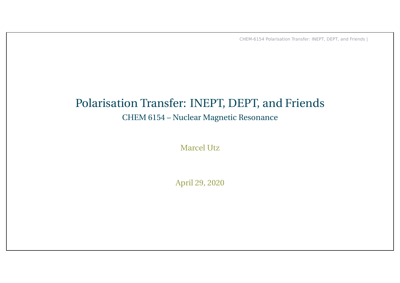# Polarisation Transfer: INEPT, DEPT, and Friends

#### CHEM 6154 – Nuclear Magnetic Resonance

Marcel Utz

April 29, 2020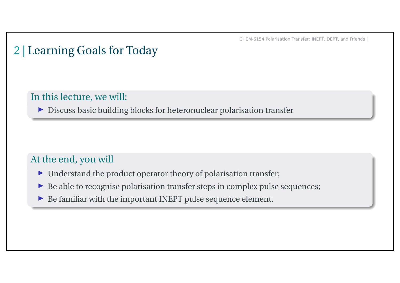# 2 | Learning Goals for Today

#### In this lecture, we will:

É Discuss basic building blocks for heteronuclear polarisation transfer

#### At the end, you will

- $\blacktriangleright$  Understand the product operator theory of polarisation transfer;
- $\blacktriangleright$  Be able to recognise polarisation transfer steps in complex pulse sequences;
- $\blacktriangleright$  Be familiar with the important INEPT pulse sequence element.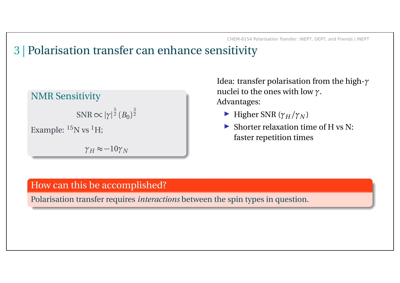### 3 | Polarisation transfer can enhance sensitivity

#### NMR Sensitivity

 $\text{SNR} \!\propto\! |\gamma|^{\frac{5}{2}}$  $\bar{2}$   $(B_0)$ 3 2 Example: <sup>15</sup>N vs <sup>1</sup>H;

 $\gamma_H \approx -10 \gamma_N$ 

Idea: transfer polarisation from the high-*γ* nuclei to the ones with low *γ*. Advantages:

- $\blacktriangleright$  Higher SNR ( $\gamma_H/\gamma_N$ )
- $\blacktriangleright$  Shorter relaxation time of H vs N: faster repetition times

#### How can this be accomplished?

Polarisation transfer requires *interactions* between the spin types in question.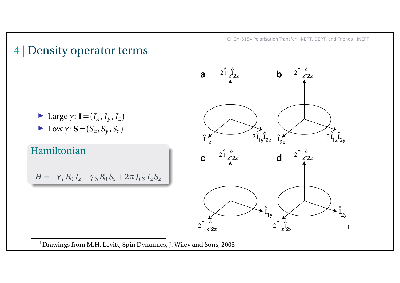### 4 | Density operator terms



E Low  $\gamma$ : **S** = ( $S_x$ ,  $S_y$ ,  $S_z$ )

#### Hamiltonian

 $H = -\gamma_I B_0 I_z - \gamma_S B_0 S_z + 2\pi J_{IS} I_z S_z$ 



1 Drawings from M.H. Levitt, Spin Dynamics, J. Wiley and Sons, 2003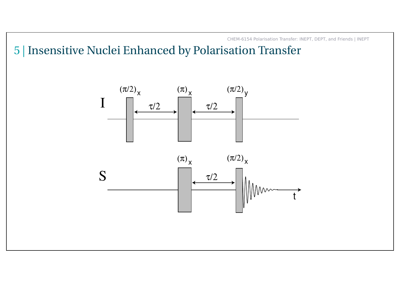5 | Insensitive Nuclei Enhanced by Polarisation Transfer

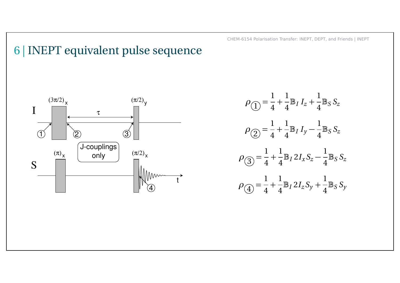# 6 | INEPT equivalent pulse sequence



$$
\rho_{\text{r}} = \frac{1}{4} + \frac{1}{4} \mathbb{B}_I I_z + \frac{1}{4} \mathbb{B}_S S_z
$$
  
\n
$$
\rho_{\text{r}} = \frac{1}{4} + \frac{1}{4} \mathbb{B}_I I_y - \frac{1}{4} \mathbb{B}_S S_z
$$
  
\n
$$
\rho_{\text{r}} = \frac{1}{4} + \frac{1}{4} \mathbb{B}_I 2 I_x S_z - \frac{1}{4} \mathbb{B}_S S_z
$$
  
\n
$$
\rho_{\text{r}} = \frac{1}{4} + \frac{1}{4} \mathbb{B}_I 2 I_z S_y + \frac{1}{4} \mathbb{B}_S S_y
$$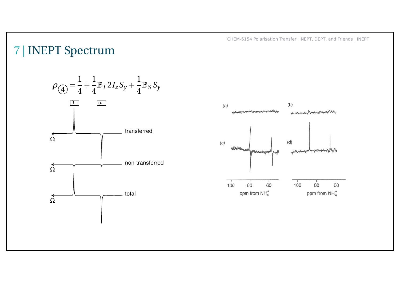### 7 | INEPT Spectrum

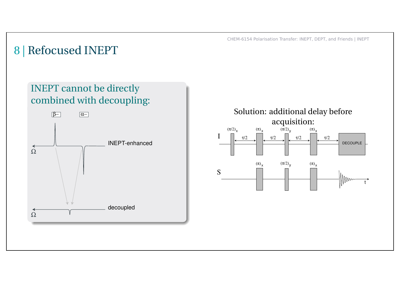### 8 | Refocused INEPT

#### INEPT cannot be directly combined with decoupling:



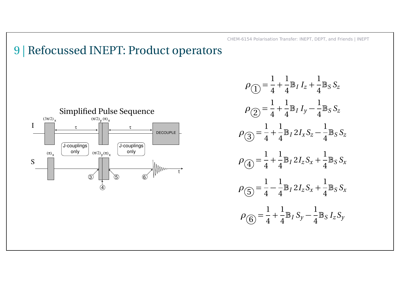### 9 | Refocussed INEPT: Product operators



$$
\rho_{\text{r}} = \frac{1}{4} + \frac{1}{4} \mathbb{B}_{I} I_{z} + \frac{1}{4} \mathbb{B}_{S} S_{z}
$$
\n
$$
\rho_{\text{r}} = \frac{1}{4} + \frac{1}{4} \mathbb{B}_{I} I_{y} - \frac{1}{4} \mathbb{B}_{S} S_{z}
$$
\n
$$
\rho_{\text{r}} = \frac{1}{4} + \frac{1}{4} \mathbb{B}_{I} 2 I_{x} S_{z} - \frac{1}{4} \mathbb{B}_{S} S_{z}
$$
\n
$$
\rho_{\text{r}} = \frac{1}{4} + \frac{1}{4} \mathbb{B}_{I} 2 I_{z} S_{x} + \frac{1}{4} \mathbb{B}_{S} S_{x}
$$
\n
$$
\rho_{\text{r}} = \frac{1}{4} - \frac{1}{4} \mathbb{B}_{I} 2 I_{z} S_{x} + \frac{1}{4} \mathbb{B}_{S} S_{x}
$$
\n
$$
\rho_{\text{r}} = \frac{1}{4} + \frac{1}{4} \mathbb{B}_{I} S_{y} - \frac{1}{4} \mathbb{B}_{S} I_{z} S_{y}
$$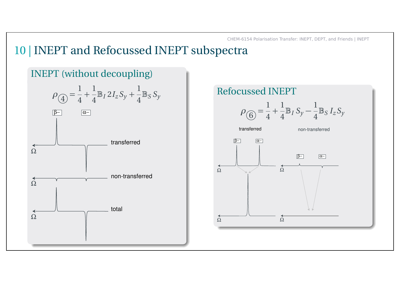### 10 | INEPT and Refocussed INEPT subspectra



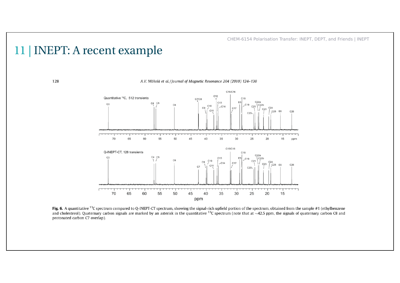### 11 | INEPT: A recent example



Fig. 6. A quantitative <sup>13</sup>C spectrum compared to Q-INEPT-CT spectrum, showing the signal-rich upfield portion of the spectrum, obtained from the sample #1 (ethylbenzene and cholesterol). Quaternary carbon signals are marked by an asterisk in the quantitative <sup>13</sup>C spectrum (note that at ~42.5 ppm, the signals of quaternary carbon C8 and protonated carbon C7 overlap).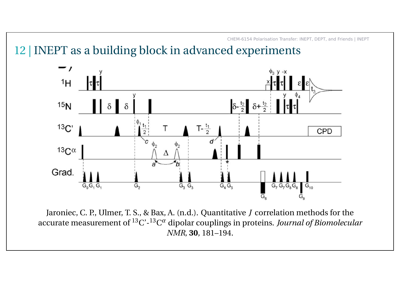12 | INEPT as a building block in advanced experiments



Jaroniec, C. P., Ulmer, T. S., & Bax, A. (n.d.). Quantitative *J* correlation methods for the accurate measurement of <sup>13</sup>C'-13C *α* dipolar couplings in proteins. *Journal of Biomolecular NMR*, **30**, 181–194.